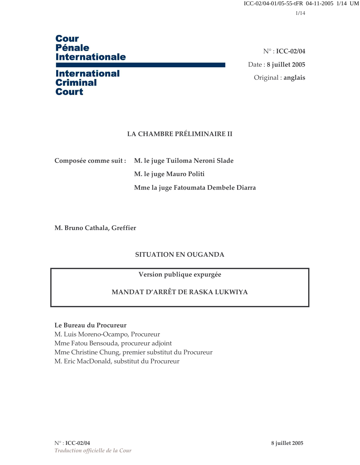# **Cour Pénale Internationale**

## **International Criminal Court**

 $N^\circ$ : ICC-02/04 Date: 8 juillet 2005 Original : anglais

### **LA CHAMBRE PRÉLIMINAIRE II**

Composée comme suit : M. le juge Tuiloma Neroni Slade

M. le juge Mauro Politi

Mme la juge Fatoumata Dembele Diarra

M. Bruno Cathala, Greffier

### **SITUATION EN OUGANDA**

Version publique expurgée

### MANDAT D'ARRÊT DE RASKA LUKWIYA

#### Le Bureau du Procureur

M. Luis Moreno-Ocampo, Procureur Mme Fatou Bensouda, procureur adjoint Mme Christine Chung, premier substitut du Procureur M. Eric MacDonald, substitut du Procureur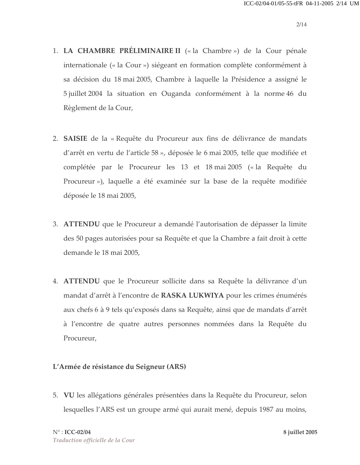- 1. LA CHAMBRE PRÉLIMINAIRE II (« la Chambre ») de la Cour pénale internationale (« la Cour ») siégeant en formation complète conformément à sa décision du 18 mai 2005, Chambre à laquelle la Présidence a assigné le 5 juillet 2004 la situation en Ouganda conformément à la norme 46 du Règlement de la Cour,
- 2. SAISIE de la « Requête du Procureur aux fins de délivrance de mandats d'arrêt en vertu de l'article 58 », déposée le 6 mai 2005, telle que modifiée et complétée par le Procureur les 13 et 18 mai 2005 (« la Requête du Procureur»), laquelle a été examinée sur la base de la requête modifiée déposée le 18 mai 2005,
- 3. ATTENDU que le Procureur a demandé l'autorisation de dépasser la limite des 50 pages autorisées pour sa Requête et que la Chambre a fait droit à cette demande le 18 mai 2005,
- 4. ATTENDU que le Procureur sollicite dans sa Requête la délivrance d'un mandat d'arrêt à l'encontre de RASKA LUKWIYA pour les crimes énumérés aux chefs 6 à 9 tels qu'exposés dans sa Requête, ainsi que de mandats d'arrêt à l'encontre de quatre autres personnes nommées dans la Requête du Procureur,

### L'Armée de résistance du Seigneur (ARS)

5. VU les allégations générales présentées dans la Requête du Procureur, selon lesquelles l'ARS est un groupe armé qui aurait mené, depuis 1987 au moins,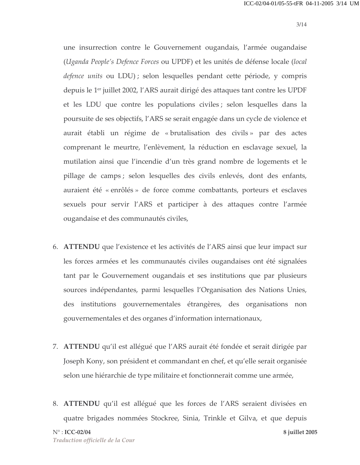une insurrection contre le Gouvernement ougandais, l'armée ougandaise (Uganda People's Defence Forces ou UPDF) et les unités de défense locale (local defence units ou LDU); selon lesquelles pendant cette période, y compris depuis le 1<sup>er</sup> juillet 2002, l'ARS aurait dirigé des attaques tant contre les UPDF et les LDU que contre les populations civiles ; selon lesquelles dans la poursuite de ses objectifs, l'ARS se serait engagée dans un cycle de violence et aurait établi un régime de « brutalisation des civils » par des actes comprenant le meurtre, l'enlèvement, la réduction en esclavage sexuel, la mutilation ainsi que l'incendie d'un très grand nombre de logements et le pillage de camps; selon lesquelles des civils enlevés, dont des enfants, auraient été « enrôlés » de force comme combattants, porteurs et esclaves sexuels pour servir l'ARS et participer à des attaques contre l'armée ougandaise et des communautés civiles,

- 6. ATTENDU que l'existence et les activités de l'ARS ainsi que leur impact sur les forces armées et les communautés civiles ougandaises ont été signalées tant par le Gouvernement ougandais et ses institutions que par plusieurs sources indépendantes, parmi lesquelles l'Organisation des Nations Unies, des institutions gouvernementales étrangères, des organisations non gouvernementales et des organes d'information internationaux,
- 7. ATTENDU qu'il est allégué que l'ARS aurait été fondée et serait dirigée par Joseph Kony, son président et commandant en chef, et qu'elle serait organisée selon une hiérarchie de type militaire et fonctionnerait comme une armée,
- 8. ATTENDU qu'il est allégué que les forces de l'ARS seraient divisées en quatre brigades nommées Stockree, Sinia, Trinkle et Gilva, et que depuis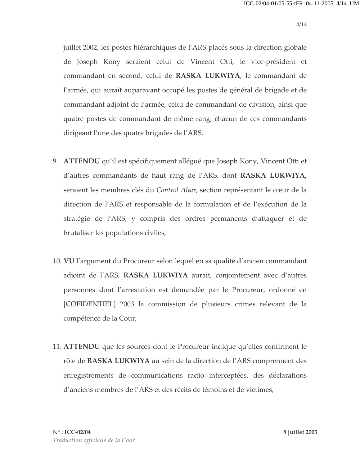juillet 2002, les postes hiérarchiques de l'ARS placés sous la direction globale de Joseph Kony seraient celui de Vincent Otti, le vice-président et commandant en second, celui de RASKA LUKWIYA, le commandant de l'armée, qui aurait auparavant occupé les postes de général de brigade et de commandant adjoint de l'armée, celui de commandant de division, ainsi que quatre postes de commandant de même rang, chacun de ces commandants dirigeant l'une des quatre brigades de l'ARS,

- 9. ATTENDU qu'il est spécifiquement allégué que Joseph Kony, Vincent Otti et d'autres commandants de haut rang de l'ARS, dont RASKA LUKWIYA, seraient les membres clés du Control Altar, section représentant le cœur de la direction de l'ARS et responsable de la formulation et de l'exécution de la stratégie de l'ARS, y compris des ordres permanents d'attaquer et de brutaliser les populations civiles,
- 10. VU l'argument du Procureur selon lequel en sa qualité d'ancien commandant adjoint de l'ARS, RASKA LUKWIYA aurait, conjointement avec d'autres personnes dont l'arrestation est demandée par le Procureur, ordonné en [COFIDENTIEL] 2003 la commission de plusieurs crimes relevant de la compétence de la Cour,
- 11. ATTENDU que les sources dont le Procureur indique qu'elles confirment le rôle de RASKA LUKWIYA au sein de la direction de l'ARS comprennent des enregistrements de communications radio interceptées, des déclarations d'anciens membres de l'ARS et des récits de témoins et de victimes,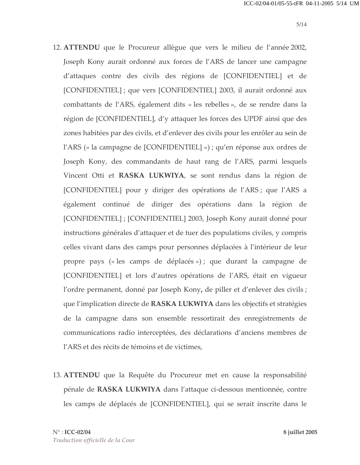- 12. ATTENDU que le Procureur allègue que vers le milieu de l'année 2002, Joseph Kony aurait ordonné aux forces de l'ARS de lancer une campagne d'attaques contre des civils des régions de [CONFIDENTIEL] et de [CONFIDENTIEL] ; que vers [CONFIDENTIEL] 2003, il aurait ordonné aux combattants de l'ARS, également dits « les rebelles », de se rendre dans la région de [CONFIDENTIEL], d'y attaquer les forces des UPDF ainsi que des zones habitées par des civils, et d'enlever des civils pour les enrôler au sein de l'ARS (« la campagne de [CONFIDENTIEL] ») ; qu'en réponse aux ordres de Joseph Kony, des commandants de haut rang de l'ARS, parmi lesquels Vincent Otti et RASKA LUKWIYA, se sont rendus dans la région de [CONFIDENTIEL] pour y diriger des opérations de l'ARS; que l'ARS a également continué de diriger des opérations dans la région de [CONFIDENTIEL] ; [CONFIDENTIEL] 2003, Joseph Kony aurait donné pour instructions générales d'attaquer et de tuer des populations civiles, y compris celles vivant dans des camps pour personnes déplacées à l'intérieur de leur propre pays (« les camps de déplacés ») ; que durant la campagne de [CONFIDENTIEL] et lors d'autres opérations de l'ARS, était en vigueur l'ordre permanent, donné par Joseph Kony, de piller et d'enlever des civils ; que l'implication directe de RASKA LUKWIYA dans les objectifs et stratégies de la campagne dans son ensemble ressortirait des enregistrements de communications radio interceptées, des déclarations d'anciens membres de l'ARS et des récits de témoins et de victimes,
- 13. ATTENDU que la Requête du Procureur met en cause la responsabilité pénale de RASKA LUKWIYA dans l'attaque ci-dessous mentionnée, contre les camps de déplacés de [CONFIDENTIEL], qui se serait inscrite dans le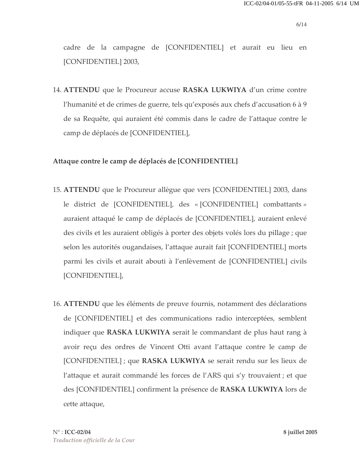cadre de la campagne de [CONFIDENTIEL] et aurait eu lieu en [CONFIDENTIEL] 2003,

14. ATTENDU que le Procureur accuse RASKA LUKWIYA d'un crime contre l'humanité et de crimes de guerre, tels qu'exposés aux chefs d'accusation 6 à 9 de sa Requête, qui auraient été commis dans le cadre de l'attaque contre le camp de déplacés de [CONFIDENTIEL],

#### Attaque contre le camp de déplacés de [CONFIDENTIEL]

- 15. ATTENDU que le Procureur allègue que vers [CONFIDENTIEL] 2003, dans le district de [CONFIDENTIEL], des « [CONFIDENTIEL] combattants » auraient attaqué le camp de déplacés de [CONFIDENTIEL], auraient enlevé des civils et les auraient obligés à porter des objets volés lors du pillage ; que selon les autorités ougandaises, l'attaque aurait fait [CONFIDENTIEL] morts parmi les civils et aurait abouti à l'enlèvement de [CONFIDENTIEL] civils [CONFIDENTIEL],
- 16. ATTENDU que les éléments de preuve fournis, notamment des déclarations de [CONFIDENTIEL] et des communications radio interceptées, semblent indiquer que RASKA LUKWIYA serait le commandant de plus haut rang à avoir reçu des ordres de Vincent Otti avant l'attaque contre le camp de [CONFIDENTIEL]; que RASKA LUKWIYA se serait rendu sur les lieux de l'attaque et aurait commandé les forces de l'ARS qui s'y trouvaient ; et que des [CONFIDENTIEL] confirment la présence de RASKA LUKWIYA lors de cette attaque,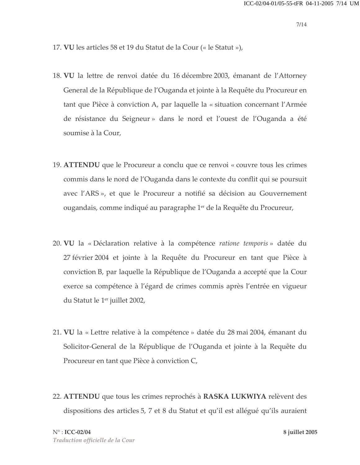- 17. VU les articles 58 et 19 du Statut de la Cour (« le Statut »),
- 18. VU la lettre de renvoi datée du 16 décembre 2003, émanant de l'Attorney General de la République de l'Ouganda et jointe à la Requête du Procureur en tant que Pièce à conviction A, par laquelle la « situation concernant l'Armée de résistance du Seigneur » dans le nord et l'ouest de l'Ouganda a été soumise à la Cour,
- 19. ATTENDU que le Procureur a conclu que ce renvoi « couvre tous les crimes commis dans le nord de l'Ouganda dans le contexte du conflit qui se poursuit avec l'ARS», et que le Procureur a notifié sa décision au Gouvernement ougandais, comme indiqué au paragraphe 1<sup>er</sup> de la Requête du Procureur,
- 20. VU la « Déclaration relative à la compétence *ratione temporis* » datée du 27 février 2004 et jointe à la Requête du Procureur en tant que Pièce à conviction B, par laquelle la République de l'Ouganda a accepté que la Cour exerce sa compétence à l'égard de crimes commis après l'entrée en vigueur du Statut le 1<sup>er</sup> juillet 2002,
- 21. VU la « Lettre relative à la compétence » datée du 28 mai 2004, émanant du Solicitor-General de la République de l'Ouganda et jointe à la Requête du Procureur en tant que Pièce à conviction C,
- 22. ATTENDU que tous les crimes reprochés à RASKA LUKWIYA relèvent des dispositions des articles 5, 7 et 8 du Statut et qu'il est allégué qu'ils auraient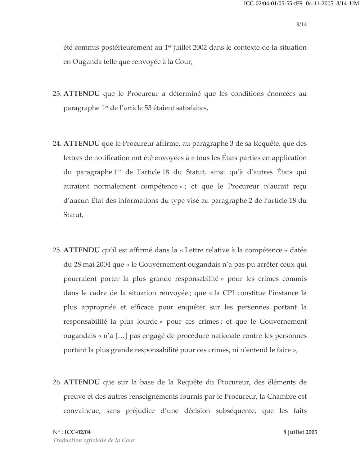été commis postérieurement au 1<sup>er</sup> juillet 2002 dans le contexte de la situation en Ouganda telle que renvoyée à la Cour,

- 23. ATTENDU que le Procureur a déterminé que les conditions énoncées au paragraphe 1<sup>er</sup> de l'article 53 étaient satisfaites,
- 24. ATTENDU que le Procureur affirme, au paragraphe 3 de sa Requête, que des lettres de notification ont été envoyées à « tous les États parties en application du paragraphe 1<sup>er</sup> de l'article 18 du Statut, ainsi qu'à d'autres États qui auraient normalement compétence » ; et que le Procureur n'aurait reçu d'aucun État des informations du type visé au paragraphe 2 de l'article 18 du Statut,
- 25. ATTENDU qu'il est affirmé dans la « Lettre relative à la compétence » datée du 28 mai 2004 que « le Gouvernement ougandais n'a pas pu arrêter ceux qui pourraient porter la plus grande responsabilité » pour les crimes commis dans le cadre de la situation renvoyée ; que « la CPI constitue l'instance la plus appropriée et efficace pour enquêter sur les personnes portant la responsabilité la plus lourde » pour ces crimes ; et que le Gouvernement ougandais « n'a [...] pas engagé de procédure nationale contre les personnes portant la plus grande responsabilité pour ces crimes, ni n'entend le faire »,
- 26. ATTENDU que sur la base de la Requête du Procureur, des éléments de preuve et des autres renseignements fournis par le Procureur, la Chambre est convaincue, sans préjudice d'une décision subséquente, que les faits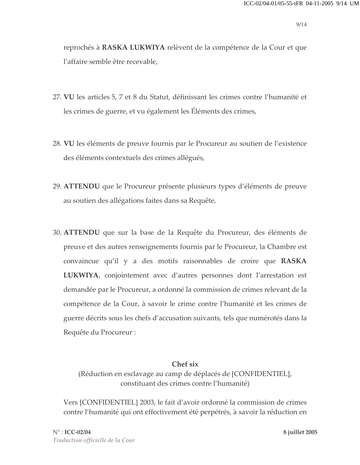reprochés à RASKA LUKWIYA relèvent de la compétence de la Cour et que l'affaire semble être recevable,

- 27. VU les articles 5, 7 et 8 du Statut, définissant les crimes contre l'humanité et les crimes de guerre, et vu également les Éléments des crimes,
- 28. VU les éléments de preuve fournis par le Procureur au soutien de l'existence des éléments contextuels des crimes allégués,
- 29. ATTENDU que le Procureur présente plusieurs types d'éléments de preuve au soutien des allégations faites dans sa Requête,
- 30. **ATTENDU** que sur la base de la Requête du Procureur, des éléments de preuve et des autres renseignements fournis par le Procureur, la Chambre est convaincue qu'il y a des motifs raisonnables de croire que RASKA LUKWIYA, conjointement avec d'autres personnes dont l'arrestation est demandée par le Procureur, a ordonné la commission de crimes relevant de la compétence de la Cour, à savoir le crime contre l'humanité et les crimes de guerre décrits sous les chefs d'accusation suivants, tels que numérotés dans la Requête du Procureur :

#### Chef six

(Réduction en esclavage au camp de déplacés de [CONFIDENTIEL], constituant des crimes contre l'humanité)

Vers [CONFIDENTIEL] 2003, le fait d'avoir ordonné la commission de crimes contre l'humanité qui ont effectivement été perpétrés, à savoir la réduction en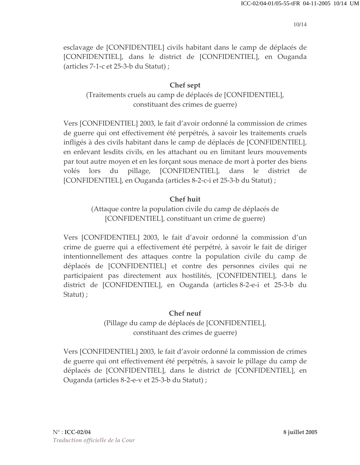esclavage de [CONFIDENTIEL] civils habitant dans le camp de déplacés de [CONFIDENTIEL], dans le district de [CONFIDENTIEL], en Ouganda (articles 7-1-c et 25-3-b du Statut);

### Chef sept

(Traitements cruels au camp de déplacés de [CONFIDENTIEL], constituant des crimes de guerre)

Vers [CONFIDENTIEL] 2003, le fait d'avoir ordonné la commission de crimes de guerre qui ont effectivement été perpétrés, à savoir les traitements cruels infligés à des civils habitant dans le camp de déplacés de [CONFIDENTIEL], en enlevant lesdits civils, en les attachant ou en limitant leurs mouvements par tout autre moyen et en les forçant sous menace de mort à porter des biens volés lors du pillage, [CONFIDENTIEL], dans le district de [CONFIDENTIEL], en Ouganda (articles 8-2-c-i et 25-3-b du Statut) ;

### **Chef huit**

(Attaque contre la population civile du camp de déplacés de [CONFIDENTIEL], constituant un crime de guerre)

Vers [CONFIDENTIEL] 2003, le fait d'avoir ordonné la commission d'un crime de guerre qui a effectivement été perpétré, à savoir le fait de diriger intentionnellement des attaques contre la population civile du camp de déplacés de [CONFIDENTIEL] et contre des personnes civiles qui ne participaient pas directement aux hostilités, [CONFIDENTIEL], dans le district de [CONFIDENTIEL], en Ouganda (articles 8-2-e-i et 25-3-b du Statut);

### Chef neuf

(Pillage du camp de déplacés de [CONFIDENTIEL], constituant des crimes de guerre)

Vers [CONFIDENTIEL] 2003, le fait d'avoir ordonné la commission de crimes de guerre qui ont effectivement été perpétrés, à savoir le pillage du camp de déplacés de [CONFIDENTIEL], dans le district de [CONFIDENTIEL], en Ouganda (articles 8-2-e-v et 25-3-b du Statut) ;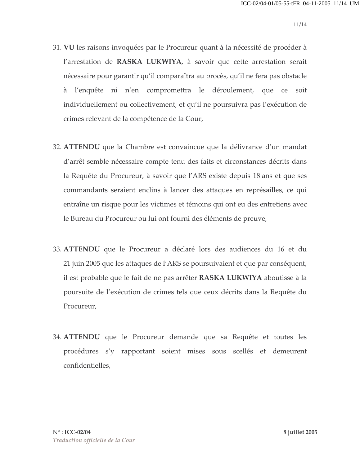- 31. VU les raisons invoquées par le Procureur quant à la nécessité de procéder à l'arrestation de RASKA LUKWIYA, à savoir que cette arrestation serait nécessaire pour garantir qu'il comparaîtra au procès, qu'il ne fera pas obstacle à l'enquête ni n'en compromettra le déroulement, que ce soit individuellement ou collectivement, et qu'il ne poursuivra pas l'exécution de crimes relevant de la compétence de la Cour,
- 32. ATTENDU que la Chambre est convaincue que la délivrance d'un mandat d'arrêt semble nécessaire compte tenu des faits et circonstances décrits dans la Requête du Procureur, à savoir que l'ARS existe depuis 18 ans et que ses commandants seraient enclins à lancer des attaques en représailles, ce qui entraîne un risque pour les victimes et témoins qui ont eu des entretiens avec le Bureau du Procureur ou lui ont fourni des éléments de preuve,
- 33. **ATTENDU** que le Procureur a déclaré lors des audiences du 16 et du 21 juin 2005 que les attaques de l'ARS se poursuivaient et que par conséquent, il est probable que le fait de ne pas arrêter RASKA LUKWIYA aboutisse à la poursuite de l'exécution de crimes tels que ceux décrits dans la Requête du Procureur,
- 34. **ATTENDU** que le Procureur demande que sa Requête et toutes les procédures s'y rapportant soient mises sous scellés et demeurent confidentielles,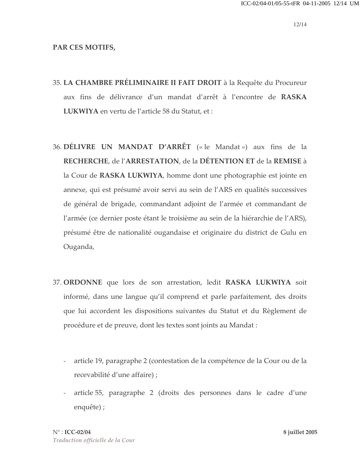#### PAR CES MOTIFS,

- 35. LA CHAMBRE PRÉLIMINAIRE II FAIT DROIT à la Requête du Procureur aux fins de délivrance d'un mandat d'arrêt à l'encontre de RASKA LUKWIYA en vertu de l'article 58 du Statut, et :
- 36. DÉLIVRE UN MANDAT D'ARRÊT (« le Mandat ») aux fins de la RECHERCHE, de l'ARRESTATION, de la DÉTENTION ET de la REMISE à la Cour de RASKA LUKWIYA, homme dont une photographie est jointe en annexe, qui est présumé avoir servi au sein de l'ARS en qualités successives de général de brigade, commandant adjoint de l'armée et commandant de l'armée (ce dernier poste étant le troisième au sein de la hiérarchie de l'ARS), présumé être de nationalité ougandaise et originaire du district de Gulu en Ouganda,
- 37. ORDONNE que lors de son arrestation, ledit RASKA LUKWIYA soit informé, dans une langue qu'il comprend et parle parfaitement, des droits que lui accordent les dispositions suivantes du Statut et du Règlement de procédure et de preuve, dont les textes sont joints au Mandat :
	- $\omega_{\rm{max}}$ article 19, paragraphe 2 (contestation de la compétence de la Cour ou de la recevabilité d'une affaire) ;
	- article 55, paragraphe 2 (droits des personnes dans le cadre d'une  $\mathbb{Z}^{\mathbb{Z}}$ enquête);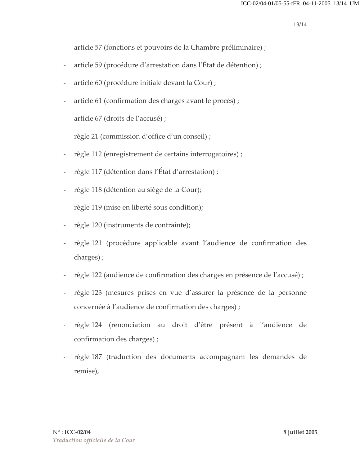- article 57 (fonctions et pouvoirs de la Chambre préliminaire) ;  $\overline{a}$
- article 59 (procédure d'arrestation dans l'État de détention);  $\overline{\phantom{0}}$
- article 60 (procédure initiale devant la Cour) ;  $\frac{1}{2}$
- article 61 (confirmation des charges avant le procès);  $\overline{\phantom{0}}$
- article 67 (droits de l'accusé) ;  $\overline{a}$
- règle 21 (commission d'office d'un conseil);
- règle 112 (enregistrement de certains interrogatoires) ;
- règle 117 (détention dans l'État d'arrestation);
- règle 118 (détention au siège de la Cour);  $\overline{a}$
- règle 119 (mise en liberté sous condition);
- règle 120 (instruments de contrainte);  $\bar{a}$
- règle 121 (procédure applicable avant l'audience de confirmation des charges);
- règle 122 (audience de confirmation des charges en présence de l'accusé);  $\bar{\phantom{a}}$
- règle 123 (mesures prises en vue d'assurer la présence de la personne  $\equiv$ concernée à l'audience de confirmation des charges);
- règle 124 (renonciation au droit d'être présent à l'audience de confirmation des charges);
- règle 187 (traduction des documents accompagnant les demandes de remise),